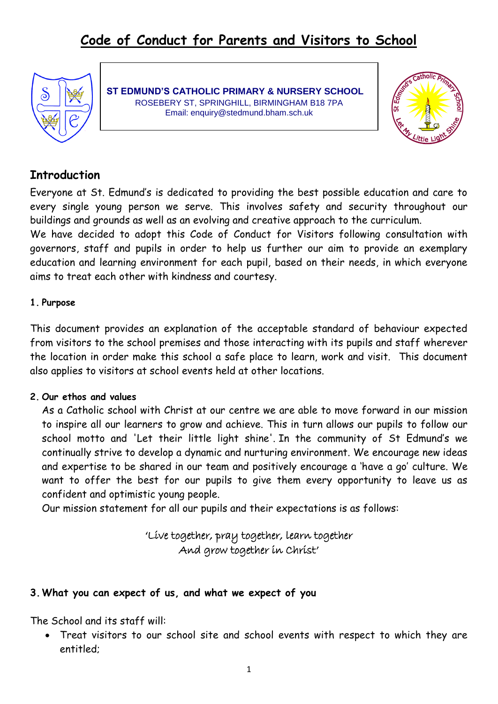

**ST EDMUND'S CATHOLIC PRIMARY & NURSERY SCHOOL** ROSEBERY ST, SPRINGHILL, BIRMINGHAM B18 7PA Email: enquiry@stedmund.bham.sch.uk



# **Introduction**

Everyone at St. Edmund's is dedicated to providing the best possible education and care to every single young person we serve. This involves safety and security throughout our buildings and grounds as well as an evolving and creative approach to the curriculum.

We have decided to adopt this Code of Conduct for Visitors following consultation with governors, staff and pupils in order to help us further our aim to provide an exemplary education and learning environment for each pupil, based on their needs, in which everyone aims to treat each other with kindness and courtesy.

## **1. Purpose**

This document provides an explanation of the acceptable standard of behaviour expected from visitors to the school premises and those interacting with its pupils and staff wherever the location in order make this school a safe place to learn, work and visit. This document also applies to visitors at school events held at other locations.

## **2. Our ethos and values**

As a Catholic school with Christ at our centre we are able to move forward in our mission to inspire all our learners to grow and achieve. This in turn allows our pupils to follow our school motto and 'Let their little light shine'. In the community of St Edmund's we continually strive to develop a dynamic and nurturing environment. We encourage new ideas and expertise to be shared in our team and positively encourage a 'have a go' culture. We want to offer the best for our pupils to give them every opportunity to leave us as confident and optimistic young people.

Our mission statement for all our pupils and their expectations is as follows:

'Live together, pray together, learn together And grow together in Christ'

## **3.What you can expect of us, and what we expect of you**

The School and its staff will:

 Treat visitors to our school site and school events with respect to which they are entitled;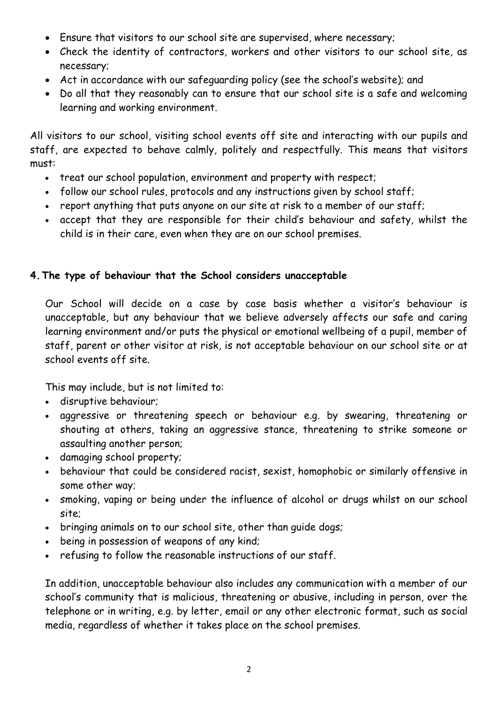- Ensure that visitors to our school site are supervised, where necessary;
- Check the identity of contractors, workers and other visitors to our school site, as necessary;
- Act in accordance with our safeguarding policy (see the school's website); and
- Do all that they reasonably can to ensure that our school site is a safe and welcoming learning and working environment.

All visitors to our school, visiting school events off site and interacting with our pupils and staff, are expected to behave calmly, politely and respectfully. This means that visitors must:

- treat our school population, environment and property with respect;
- follow our school rules, protocols and any instructions given by school staff;
- report anything that puts anyone on our site at risk to a member of our staff;
- accept that they are responsible for their child's behaviour and safety, whilst the child is in their care, even when they are on our school premises.

## **4.The type of behaviour that the School considers unacceptable**

Our School will decide on a case by case basis whether a visitor's behaviour is unacceptable, but any behaviour that we believe adversely affects our safe and caring learning environment and/or puts the physical or emotional wellbeing of a pupil, member of staff, parent or other visitor at risk, is not acceptable behaviour on our school site or at school events off site.

This may include, but is not limited to:

- disruptive behaviour;
- aggressive or threatening speech or behaviour e.g. by swearing, threatening or shouting at others, taking an aggressive stance, threatening to strike someone or assaulting another person;
- damaging school property;
- behaviour that could be considered racist, sexist, homophobic or similarly offensive in some other way;
- smoking, vaping or being under the influence of alcohol or drugs whilst on our school site;
- bringing animals on to our school site, other than guide dogs;
- being in possession of weapons of any kind;
- refusing to follow the reasonable instructions of our staff.

In addition, unacceptable behaviour also includes any communication with a member of our school's community that is malicious, threatening or abusive, including in person, over the telephone or in writing, e.g. by letter, email or any other electronic format, such as social media, regardless of whether it takes place on the school premises.